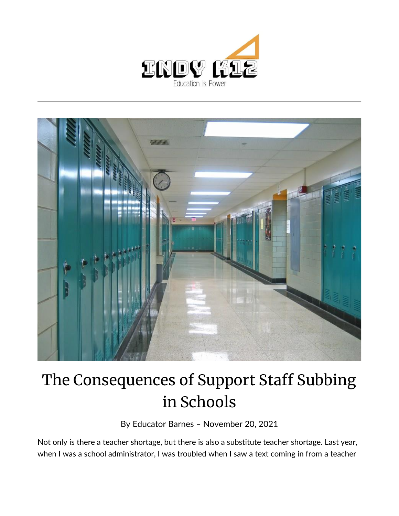



## The Consequences of Support Staff Subbing in Schools

By [Educator Barnes](https://indy.education/author/shicole/) – November 20, 2021

Not only is there a teacher shortage, but there is also a substitute teacher shortage. Last year, when I was a school administrator, I was troubled when I saw a text coming in from a teacher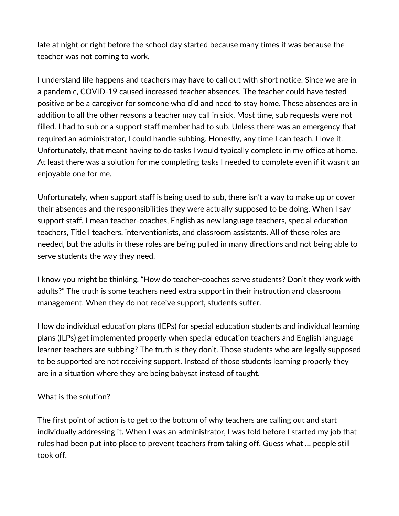late at night or right before the school day started because many times it was because the teacher was not coming to work.

I understand life happens and teachers may have to call out with short notice. Since we are in a pandemic, COVID-19 caused increased teacher absences. The teacher could have tested positive or be a caregiver for someone who did and need to stay home. These absences are in addition to all the other reasons a teacher may call in sick. Most time, sub requests were not filled. I had to sub or a support staff member had to sub. Unless there was an emergency that required an administrator, I could handle subbing. Honestly, any time I can teach, I love it. Unfortunately, that meant having to do tasks I would typically complete in my office at home. At least there was a solution for me completing tasks I needed to complete even if it wasn't an enjoyable one for me.

Unfortunately, when support staff is being used to sub, there isn't a way to make up or cover their absences and the responsibilities they were actually supposed to be doing. When I say support staff, I mean teacher-coaches, English as new language teachers, special education teachers, Title I teachers, interventionists, and classroom assistants. All of these roles are needed, but the adults in these roles are being pulled in many directions and not being able to serve students the way they need.

I know you might be thinking, "How do teacher-coaches serve students? Don't they work with adults?" The truth is some teachers need extra support in their instruction and classroom management. When they do not receive support, students suffer.

How do individual education plans (IEPs) for special education students and individual learning plans (ILPs) get implemented properly when special education teachers and English language learner teachers are subbing? The truth is they don't. Those students who are legally supposed to be supported are not receiving support. Instead of those students learning properly they are in a situation where they are being babysat instead of taught.

## What is the solution?

The first point of action is to get to the bottom of why teachers are calling out and start individually addressing it. When I was an administrator, I was told before I started my job that rules had been put into place to prevent teachers from taking off. Guess what … people still took off.